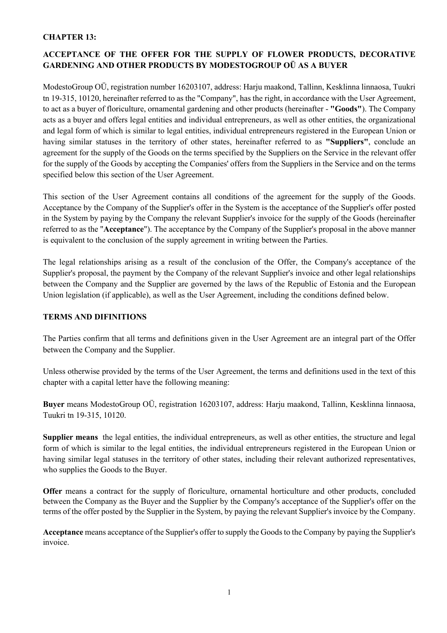#### **CHAPTER 13:**

# **ACCEPTANCE OF THE OFFER FOR THE SUPPLY OF FLOWER PRODUCTS, DECORATIVE GARDENING AND OTHER PRODUCTS BY MODESTOGROUP OÜ AS A BUYER**

ModestoGroup OÜ, registration number 16203107, address: Harju maakond, Tallinn, Kesklinna linnaosa, Tuukri tn 19-315, 10120, hereinafter referred to as the "Company", has the right, in accordance with the User Agreement, to act as a buyer of floriculture, ornamental gardening and other products (hereinafter - **"Goods"**). The Company acts as a buyer and offers legal entities and individual entrepreneurs, as well as other entities, the organizational and legal form of which is similar to legal entities, individual entrepreneurs registered in the European Union or having similar statuses in the territory of other states, hereinafter referred to as **"Suppliers"**, conclude an agreement for the supply of the Goods on the terms specified by the Suppliers on the Service in the relevant offer for the supply of the Goods by accepting the Companies' offers from the Suppliers in the Service and on the terms specified below this section of the User Agreement.

This section of the User Agreement contains all conditions of the agreement for the supply of the Goods. Acceptance by the Company of the Supplier's offer in the System is the acceptance of the Supplier's offer posted in the System by paying by the Company the relevant Supplier's invoice for the supply of the Goods (hereinafter referred to as the "**Acceptance**"). The acceptance by the Company of the Supplier's proposal in the above manner is equivalent to the conclusion of the supply agreement in writing between the Parties.

The legal relationships arising as a result of the conclusion of the Offer, the Company's acceptance of the Supplier's proposal, the payment by the Company of the relevant Supplier's invoice and other legal relationships between the Company and the Supplier are governed by the laws of the Republic of Estonia and the European Union legislation (if applicable), as well as the User Agreement, including the conditions defined below.

#### **TERMS AND DIFINITIONS**

The Parties confirm that all terms and definitions given in the User Agreement are an integral part of the Offer between the Company and the Supplier.

Unless otherwise provided by the terms of the User Agreement, the terms and definitions used in the text of this chapter with a capital letter have the following meaning:

**Buyer** means ModestoGroup OÜ, registration 16203107, address: Harju maakond, Tallinn, Kesklinna linnaosa, Tuukri tn 19-315, 10120.

**Supplier means** the legal entities, the individual entrepreneurs, as well as other entities, the structure and legal form of which is similar to the legal entities, the individual entrepreneurs registered in the European Union or having similar legal statuses in the territory of other states, including their relevant authorized representatives, who supplies the Goods to the Buyer.

**Offer** means a contract for the supply of floriculture, ornamental horticulture and other products, concluded between the Company as the Buyer and the Supplier by the Company's acceptance of the Supplier's offer on the terms of the offer posted by the Supplier in the System, by paying the relevant Supplier's invoice by the Company.

**Acceptance** means acceptance of the Supplier's offer to supply the Goods to the Company by paying the Supplier's invoice.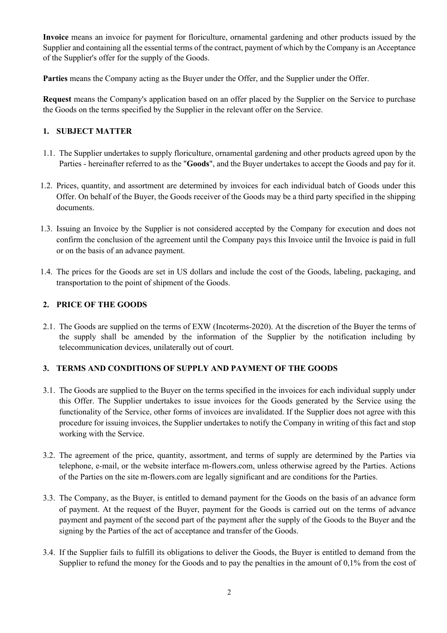**Invoice** means an invoice for payment for floriculture, ornamental gardening and other products issued by the Supplier and containing all the essential terms of the contract, payment of which by the Company is an Acceptance of the Supplier's offer for the supply of the Goods.

**Parties** means the Company acting as the Buyer under the Offer, and the Supplier under the Offer.

**Request** means the Company's application based on an offer placed by the Supplier on the Service to purchase the Goods on the terms specified by the Supplier in the relevant offer on the Service.

#### **1. SUBJECT MATTER**

- 1.1. The Supplier undertakes to supply floriculture, ornamental gardening and other products agreed upon by the Parties - hereinafter referred to as the "**Goods**", and the Buyer undertakes to accept the Goods and pay for it.
- 1.2. Prices, quantity, and assortment are determined by invoices for each individual batch of Goods under this Offer. On behalf of the Buyer, the Goods receiver of the Goods may be a third party specified in the shipping documents.
- 1.3. Issuing an Invoice by the Supplier is not considered accepted by the Company for execution and does not confirm the conclusion of the agreement until the Company pays this Invoice until the Invoice is paid in full or on the basis of an advance payment.
- 1.4. The prices for the Goods are set in US dollars and include the cost of the Goods, labeling, packaging, and transportation to the point of shipment of the Goods.

#### **2. PRICE OF THE GOODS**

2.1. The Goods are supplied on the terms of EXW (Incoterms-2020). At the discretion of the Buyer the terms of the supply shall be amended by the information of the Supplier by the notification including by telecommunication devices, unilaterally out of court.

### **3. TERMS AND CONDITIONS OF SUPPLY AND PAYMENT OF THE GOODS**

- 3.1. The Goods are supplied to the Buyer on the terms specified in the invoices for each individual supply under this Offer. The Supplier undertakes to issue invoices for the Goods generated by the Service using the functionality of the Service, other forms of invoices are invalidated. If the Supplier does not agree with this procedure for issuing invoices, the Supplier undertakes to notify the Company in writing of this fact and stop working with the Service.
- 3.2. The agreement of the price, quantity, assortment, and terms of supply are determined by the Parties via telephone, e-mail, or the website interface m-flowers.com, unless otherwise agreed by the Parties. Actions of the Parties on the site m-flowers.com are legally significant and are conditions for the Parties.
- 3.3. The Company, as the Buyer, is entitled to demand payment for the Goods on the basis of an advance form of payment. At the request of the Buyer, payment for the Goods is carried out on the terms of advance payment and payment of the second part of the payment after the supply of the Goods to the Buyer and the signing by the Parties of the act of acceptance and transfer of the Goods.
- 3.4. If the Supplier fails to fulfill its obligations to deliver the Goods, the Buyer is entitled to demand from the Supplier to refund the money for the Goods and to pay the penalties in the amount of 0,1% from the cost of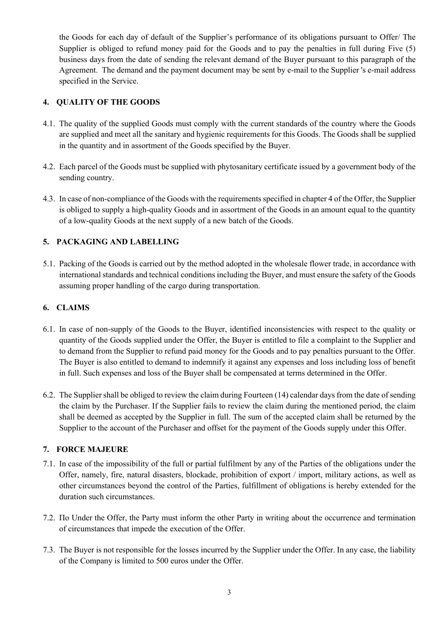the Goods for each day of default of the Supplier's performance of its obligations pursuant to Offer/ The Supplier is obliged to refund money paid for the Goods and to pay the penalties in full during Five (5) business days from the date of sending the relevant demand of the Buyer pursuant to this paragraph of the Agreement. The demand and the payment document may be sent by e-mail to the Supplier 's e-mail address specified in the Service.

### **4. QUALITY OF THE GOODS**

- 4.1. The quality of the supplied Goods must comply with the current standards of the country where the Goods are supplied and meet all the sanitary and hygienic requirements for this Goods. The Goods shall be supplied in the quantity and in assortment of the Goods specified by the Buyer.
- 4.2. Each parcel of the Goods must be supplied with phytosanitary certificate issued by a government body of the sending country.
- 4.3. In case of non-compliance of the Goods with the requirements specified in chapter 4 of the Offer, the Supplier is obliged to supply a high-quality Goods and in assortment of the Goods in an amount equal to the quantity of a low-quality Goods at the next supply of a new batch of the Goods.

### **5. PACKAGING AND LABELLING**

5.1. Packing of the Goods is carried out by the method adopted in the wholesale flower trade, in accordance with international standards and technical conditions including the Buyer, and must ensure the safety of the Goods assuming proper handling of the cargo during transportation.

### **6. CLAIMS**

- 6.1. In case of non-supply of the Goods to the Buyer, identified inconsistencies with respect to the quality or quantity of the Goods supplied under the Offer, the Buyer is entitled to file a complaint to the Supplier and to demand from the Supplier to refund paid money for the Goods and to pay penalties pursuant to the Offer. The Buyer is also entitled to demand to indemnify it against any expenses and loss including loss of benefit in full. Such expenses and loss of the Buyer shall be compensated at terms determined in the Offer.
- 6.2. The Supplier shall be obliged to review the claim during Fourteen (14) calendar days from the date of sending the claim by the Purchaser. If the Supplier fails to review the claim during the mentioned period, the claim shall be deemed as accepted by the Supplier in full. The sum of the accepted claim shall be returned by the Supplier to the account of the Purchaser and offset for the payment of the Goods supply under this Offer.

#### **7. FORCE MAJEURE**

- 7.1. In case of the impossibility of the full or partial fulfilment by any of the Parties of the obligations under the Offer, namely, fire, natural disasters, blockade, prohibition of export / import, military actions, as well as other circumstances beyond the control of the Parties, fulfillment of obligations is hereby extended for the duration such circumstances.
- 7.2. По Under the Offer, the Party must inform the other Party in writing about the occurrence and termination of circumstances that impede the execution of the Offer.
- 7.3. The Buyer is not responsible for the losses incurred by the Supplier under the Offer. In any case, the liability of the Company is limited to 500 euros under the Offer.